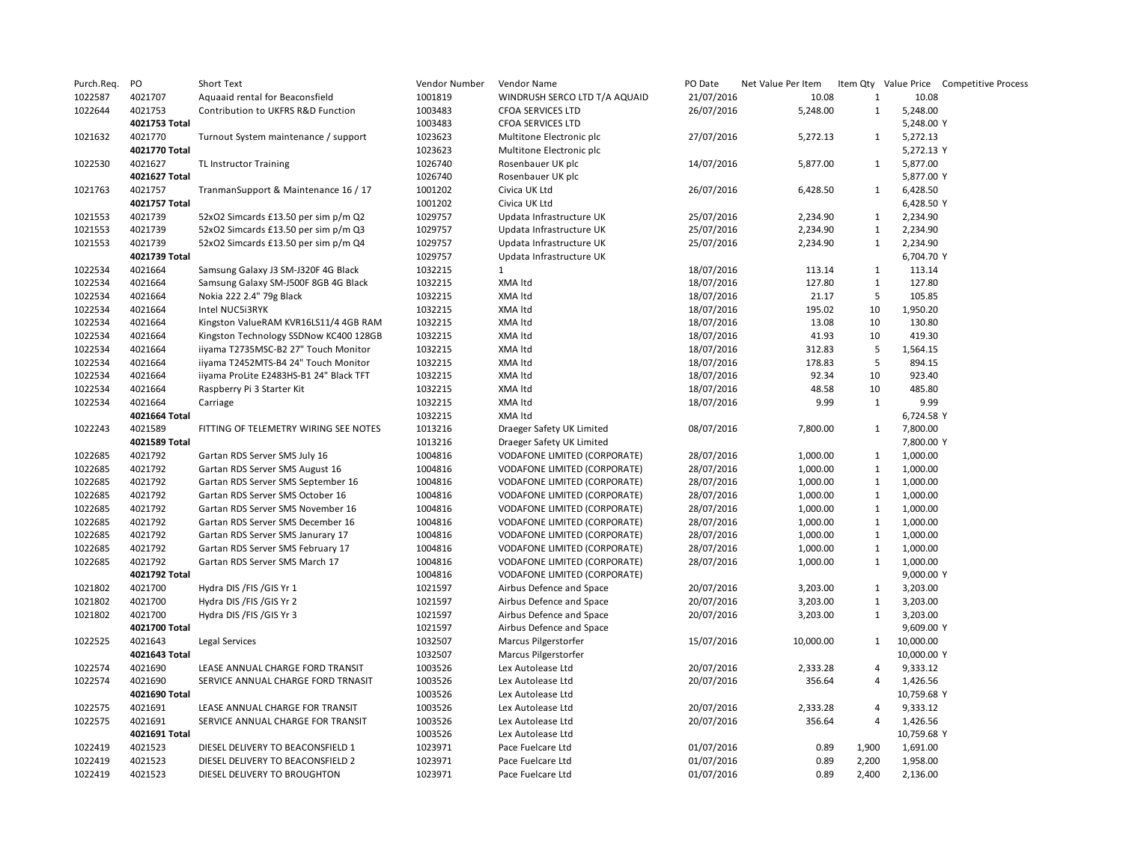| Purch.Req. | PO            | Short Text                              | Vendor Number | Vendor Name                         | PO Date    | Net Value Per Item |              |             | Item Qty Value Price Competitive Process |
|------------|---------------|-----------------------------------------|---------------|-------------------------------------|------------|--------------------|--------------|-------------|------------------------------------------|
| 1022587    | 4021707       | Aquaaid rental for Beaconsfield         | 1001819       | WINDRUSH SERCO LTD T/A AQUAID       | 21/07/2016 | 10.08              | $\mathbf{1}$ | 10.08       |                                          |
| 1022644    | 4021753       | Contribution to UKFRS R&D Function      | 1003483       | <b>CFOA SERVICES LTD</b>            | 26/07/2016 | 5,248.00           | $\mathbf{1}$ | 5,248.00    |                                          |
|            | 4021753 Total |                                         | 1003483       | <b>CFOA SERVICES LTD</b>            |            |                    |              | 5,248.00 Y  |                                          |
| 1021632    | 4021770       | Turnout System maintenance / support    | 1023623       | Multitone Electronic plc            | 27/07/2016 | 5,272.13           | $\mathbf{1}$ | 5,272.13    |                                          |
|            | 4021770 Total |                                         | 1023623       | Multitone Electronic plc            |            |                    |              | 5,272.13 Y  |                                          |
| 1022530    | 4021627       | <b>TL Instructor Training</b>           | 1026740       | Rosenbauer UK plc                   | 14/07/2016 | 5,877.00           | 1            | 5,877.00    |                                          |
|            | 4021627 Total |                                         | 1026740       | Rosenbauer UK plc                   |            |                    |              | 5,877.00 Y  |                                          |
| 1021763    | 4021757       | TranmanSupport & Maintenance 16 / 17    | 1001202       | Civica UK Ltd                       | 26/07/2016 | 6,428.50           | 1            | 6,428.50    |                                          |
|            | 4021757 Total |                                         | 1001202       | Civica UK Ltd                       |            |                    |              | 6,428.50 Y  |                                          |
| 1021553    | 4021739       | 52xO2 Simcards £13.50 per sim p/m Q2    | 1029757       | Updata Infrastructure UK            | 25/07/2016 | 2,234.90           | $\mathbf{1}$ | 2,234.90    |                                          |
| 1021553    | 4021739       | 52xO2 Simcards £13.50 per sim p/m Q3    | 1029757       | Updata Infrastructure UK            | 25/07/2016 | 2,234.90           | $\mathbf{1}$ | 2,234.90    |                                          |
| 1021553    | 4021739       | 52xO2 Simcards £13.50 per sim p/m Q4    | 1029757       | Updata Infrastructure UK            | 25/07/2016 | 2,234.90           | $\mathbf{1}$ | 2,234.90    |                                          |
|            | 4021739 Total |                                         | 1029757       | Updata Infrastructure UK            |            |                    |              | 6,704.70 Y  |                                          |
| 1022534    | 4021664       | Samsung Galaxy J3 SM-J320F 4G Black     | 1032215       | $\mathbf{1}$                        | 18/07/2016 | 113.14             | $\mathbf{1}$ | 113.14      |                                          |
| 1022534    | 4021664       | Samsung Galaxy SM-J500F 8GB 4G Black    | 1032215       | XMA Itd                             | 18/07/2016 | 127.80             | $\mathbf{1}$ | 127.80      |                                          |
| 1022534    | 4021664       | Nokia 222 2.4" 79g Black                | 1032215       | XMA Itd                             | 18/07/2016 | 21.17              | 5            | 105.85      |                                          |
| 1022534    | 4021664       | Intel NUC5i3RYK                         | 1032215       | XMA Itd                             | 18/07/2016 | 195.02             | 10           | 1,950.20    |                                          |
| 1022534    | 4021664       | Kingston ValueRAM KVR16LS11/4 4GB RAM   | 1032215       | XMA Itd                             | 18/07/2016 | 13.08              | 10           | 130.80      |                                          |
| 1022534    | 4021664       | Kingston Technology SSDNow KC400 128GB  | 1032215       | XMA Itd                             | 18/07/2016 | 41.93              | 10           | 419.30      |                                          |
| 1022534    | 4021664       | iiyama T2735MSC-B2 27" Touch Monitor    | 1032215       | XMA Itd                             | 18/07/2016 | 312.83             | 5            | 1,564.15    |                                          |
| 1022534    | 4021664       | iiyama T2452MTS-B4 24" Touch Monitor    | 1032215       | XMA Itd                             | 18/07/2016 | 178.83             | 5            | 894.15      |                                          |
| 1022534    | 4021664       | iiyama ProLite E2483HS-B1 24" Black TFT | 1032215       | XMA Itd                             | 18/07/2016 | 92.34              | 10           | 923.40      |                                          |
| 1022534    | 4021664       | Raspberry Pi 3 Starter Kit              | 1032215       | XMA Itd                             | 18/07/2016 | 48.58              | 10           | 485.80      |                                          |
| 1022534    | 4021664       | Carriage                                | 1032215       | XMA Itd                             | 18/07/2016 | 9.99               | $\mathbf{1}$ | 9.99        |                                          |
|            | 4021664 Total |                                         | 1032215       | XMA Itd                             |            |                    |              | 6,724.58 Y  |                                          |
| 1022243    | 4021589       | FITTING OF TELEMETRY WIRING SEE NOTES   | 1013216       | Draeger Safety UK Limited           | 08/07/2016 | 7,800.00           | 1            | 7,800.00    |                                          |
|            | 4021589 Total |                                         | 1013216       | Draeger Safety UK Limited           |            |                    |              | 7,800.00 Y  |                                          |
| 1022685    | 4021792       | Gartan RDS Server SMS July 16           | 1004816       | VODAFONE LIMITED (CORPORATE)        | 28/07/2016 | 1,000.00           | 1            | 1,000.00    |                                          |
| 1022685    | 4021792       | Gartan RDS Server SMS August 16         | 1004816       | <b>VODAFONE LIMITED (CORPORATE)</b> | 28/07/2016 | 1,000.00           | $\mathbf{1}$ | 1,000.00    |                                          |
| 1022685    | 4021792       | Gartan RDS Server SMS September 16      | 1004816       | VODAFONE LIMITED (CORPORATE)        | 28/07/2016 | 1,000.00           | $\mathbf{1}$ | 1,000.00    |                                          |
| 1022685    | 4021792       | Gartan RDS Server SMS October 16        | 1004816       | <b>VODAFONE LIMITED (CORPORATE)</b> | 28/07/2016 | 1,000.00           | $\mathbf{1}$ | 1,000.00    |                                          |
| 1022685    | 4021792       | Gartan RDS Server SMS November 16       | 1004816       | VODAFONE LIMITED (CORPORATE)        | 28/07/2016 | 1,000.00           | $\mathbf{1}$ | 1,000.00    |                                          |
| 1022685    | 4021792       | Gartan RDS Server SMS December 16       | 1004816       | VODAFONE LIMITED (CORPORATE)        | 28/07/2016 | 1,000.00           | $\mathbf{1}$ | 1,000.00    |                                          |
| 1022685    | 4021792       | Gartan RDS Server SMS Janurary 17       | 1004816       | VODAFONE LIMITED (CORPORATE)        | 28/07/2016 | 1,000.00           | $\mathbf{1}$ | 1,000.00    |                                          |
| 1022685    | 4021792       | Gartan RDS Server SMS February 17       | 1004816       | <b>VODAFONE LIMITED (CORPORATE)</b> | 28/07/2016 | 1,000.00           | $\mathbf{1}$ | 1,000.00    |                                          |
| 1022685    | 4021792       | Gartan RDS Server SMS March 17          | 1004816       | VODAFONE LIMITED (CORPORATE)        | 28/07/2016 | 1,000.00           | $\mathbf{1}$ | 1,000.00    |                                          |
|            | 4021792 Total |                                         | 1004816       | VODAFONE LIMITED (CORPORATE)        |            |                    |              | 9,000.00 Y  |                                          |
| 1021802    | 4021700       | Hydra DIS / FIS / GIS Yr 1              | 1021597       | Airbus Defence and Space            | 20/07/2016 | 3,203.00           | $\mathbf{1}$ | 3,203.00    |                                          |
| 1021802    | 4021700       | Hydra DIS / FIS / GIS Yr 2              | 1021597       | Airbus Defence and Space            | 20/07/2016 | 3,203.00           | $\mathbf{1}$ | 3,203.00    |                                          |
| 1021802    | 4021700       | Hydra DIS / FIS / GIS Yr 3              | 1021597       | Airbus Defence and Space            | 20/07/2016 | 3,203.00           | $\mathbf{1}$ | 3,203.00    |                                          |
|            | 4021700 Total |                                         | 1021597       | Airbus Defence and Space            |            |                    |              | 9,609.00 Y  |                                          |
| 1022525    | 4021643       | Legal Services                          | 1032507       | Marcus Pilgerstorfer                | 15/07/2016 | 10,000.00          | $\mathbf{1}$ | 10,000.00   |                                          |
|            | 4021643 Total |                                         | 1032507       | Marcus Pilgerstorfer                |            |                    |              | 10,000.00 Y |                                          |
| 1022574    | 4021690       | LEASE ANNUAL CHARGE FORD TRANSIT        | 1003526       | Lex Autolease Ltd                   | 20/07/2016 | 2,333.28           | 4            | 9,333.12    |                                          |
| 1022574    | 4021690       | SERVICE ANNUAL CHARGE FORD TRNASIT      | 1003526       | Lex Autolease Ltd                   | 20/07/2016 | 356.64             | 4            | 1,426.56    |                                          |
|            | 4021690 Total |                                         | 1003526       | Lex Autolease Ltd                   |            |                    |              | 10,759.68 Y |                                          |
| 1022575    | 4021691       | LEASE ANNUAL CHARGE FOR TRANSIT         | 1003526       | Lex Autolease Ltd                   | 20/07/2016 | 2,333.28           | 4            | 9,333.12    |                                          |
| 1022575    | 4021691       | SERVICE ANNUAL CHARGE FOR TRANSIT       | 1003526       | Lex Autolease Ltd                   | 20/07/2016 | 356.64             | 4            | 1,426.56    |                                          |
|            | 4021691 Total |                                         | 1003526       | Lex Autolease Ltd                   |            |                    |              | 10,759.68 Y |                                          |
| 1022419    | 4021523       | DIESEL DELIVERY TO BEACONSFIELD 1       | 1023971       | Pace Fuelcare Ltd                   | 01/07/2016 | 0.89               | 1,900        | 1,691.00    |                                          |
| 1022419    | 4021523       | DIESEL DELIVERY TO BEACONSFIELD 2       | 1023971       | Pace Fuelcare Ltd                   | 01/07/2016 | 0.89               | 2,200        | 1,958.00    |                                          |
| 1022419    | 4021523       | DIESEL DELIVERY TO BROUGHTON            | 1023971       | Pace Fuelcare Ltd                   | 01/07/2016 | 0.89               | 2,400        | 2,136.00    |                                          |
|            |               |                                         |               |                                     |            |                    |              |             |                                          |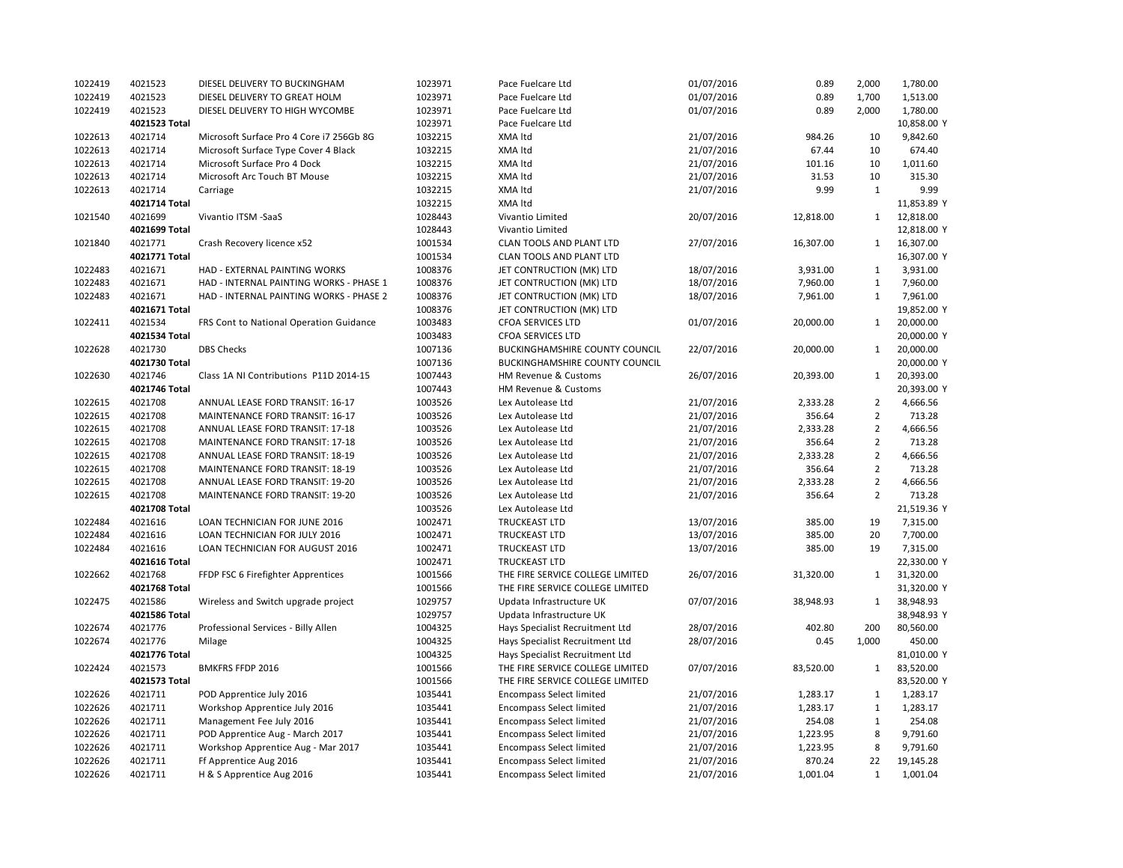| 1022419 | 4021523       | DIESEL DELIVERY TO BUCKINGHAM            | 1023971 | Pace Fuelcare Ltd                     | 01/07/2016 | 0.89      | 2,000          | 1,780.00    |
|---------|---------------|------------------------------------------|---------|---------------------------------------|------------|-----------|----------------|-------------|
| 1022419 | 4021523       | DIESEL DELIVERY TO GREAT HOLM            | 1023971 | Pace Fuelcare Ltd                     | 01/07/2016 | 0.89      | 1,700          | 1,513.00    |
| 1022419 | 4021523       | DIESEL DELIVERY TO HIGH WYCOMBE          | 1023971 | Pace Fuelcare Ltd                     | 01/07/2016 | 0.89      | 2,000          | 1,780.00    |
|         | 4021523 Total |                                          | 1023971 | Pace Fuelcare Ltd                     |            |           |                | 10,858.00 Y |
| 1022613 | 4021714       | Microsoft Surface Pro 4 Core i7 256Gb 8G | 1032215 | XMA Itd                               | 21/07/2016 | 984.26    | 10             | 9,842.60    |
| 1022613 | 4021714       | Microsoft Surface Type Cover 4 Black     | 1032215 | XMA Itd                               | 21/07/2016 | 67.44     | 10             | 674.40      |
| 1022613 | 4021714       | Microsoft Surface Pro 4 Dock             | 1032215 | XMA Itd                               | 21/07/2016 | 101.16    | 10             | 1,011.60    |
| 1022613 | 4021714       | Microsoft Arc Touch BT Mouse             | 1032215 | XMA Itd                               | 21/07/2016 | 31.53     | 10             | 315.30      |
| 1022613 | 4021714       | Carriage                                 | 1032215 | XMA Itd                               | 21/07/2016 | 9.99      | $\mathbf{1}$   | 9.99        |
|         | 4021714 Total |                                          | 1032215 | XMA Itd                               |            |           |                | 11,853.89 Y |
| 1021540 | 4021699       | Vivantio ITSM -SaaS                      | 1028443 | Vivantio Limited                      | 20/07/2016 | 12,818.00 | $\mathbf{1}$   | 12,818.00   |
|         | 4021699 Total |                                          | 1028443 | Vivantio Limited                      |            |           |                | 12,818.00 Y |
| 1021840 | 4021771       | Crash Recovery licence x52               | 1001534 | CLAN TOOLS AND PLANT LTD              | 27/07/2016 | 16,307.00 | $\mathbf{1}$   | 16,307.00   |
|         | 4021771 Total |                                          | 1001534 | CLAN TOOLS AND PLANT LTD              |            |           |                | 16,307.00 Y |
| 1022483 | 4021671       | HAD - EXTERNAL PAINTING WORKS            | 1008376 | JET CONTRUCTION (MK) LTD              | 18/07/2016 | 3,931.00  | $\mathbf{1}$   | 3,931.00    |
| 1022483 | 4021671       | HAD - INTERNAL PAINTING WORKS - PHASE 1  | 1008376 | JET CONTRUCTION (MK) LTD              | 18/07/2016 | 7,960.00  | $\mathbf{1}$   | 7,960.00    |
| 1022483 | 4021671       | HAD - INTERNAL PAINTING WORKS - PHASE 2  | 1008376 | JET CONTRUCTION (MK) LTD              | 18/07/2016 | 7,961.00  | $\mathbf{1}$   | 7,961.00    |
|         | 4021671 Total |                                          | 1008376 | JET CONTRUCTION (MK) LTD              |            |           |                | 19,852.00 Y |
| 1022411 | 4021534       | FRS Cont to National Operation Guidance  | 1003483 | <b>CFOA SERVICES LTD</b>              | 01/07/2016 | 20,000.00 | $\mathbf{1}$   | 20,000.00   |
|         | 4021534 Total |                                          | 1003483 | <b>CFOA SERVICES LTD</b>              |            |           |                | 20,000.00 Y |
| 1022628 | 4021730       | <b>DBS Checks</b>                        | 1007136 | <b>BUCKINGHAMSHIRE COUNTY COUNCIL</b> | 22/07/2016 | 20,000.00 | $\mathbf{1}$   | 20,000.00   |
|         | 4021730 Total |                                          | 1007136 | BUCKINGHAMSHIRE COUNTY COUNCIL        |            |           |                | 20,000.00 Y |
| 1022630 | 4021746       | Class 1A NI Contributions P11D 2014-15   | 1007443 | HM Revenue & Customs                  | 26/07/2016 | 20,393.00 | $\mathbf{1}$   | 20,393.00   |
|         | 4021746 Total |                                          | 1007443 | HM Revenue & Customs                  |            |           |                | 20,393.00 Y |
| 1022615 | 4021708       | ANNUAL LEASE FORD TRANSIT: 16-17         | 1003526 | Lex Autolease Ltd                     | 21/07/2016 | 2,333.28  | $\overline{2}$ | 4,666.56    |
| 1022615 | 4021708       | MAINTENANCE FORD TRANSIT: 16-17          | 1003526 | Lex Autolease Ltd                     | 21/07/2016 | 356.64    | $\overline{2}$ | 713.28      |
| 1022615 | 4021708       | ANNUAL LEASE FORD TRANSIT: 17-18         | 1003526 | Lex Autolease Ltd                     | 21/07/2016 | 2,333.28  | $\overline{2}$ | 4,666.56    |
| 1022615 | 4021708       |                                          | 1003526 |                                       | 21/07/2016 | 356.64    | $\overline{2}$ | 713.28      |
|         |               | MAINTENANCE FORD TRANSIT: 17-18          |         | Lex Autolease Ltd                     |            |           | $\overline{2}$ |             |
| 1022615 | 4021708       | ANNUAL LEASE FORD TRANSIT: 18-19         | 1003526 | Lex Autolease Ltd                     | 21/07/2016 | 2,333.28  |                | 4,666.56    |
| 1022615 | 4021708       | MAINTENANCE FORD TRANSIT: 18-19          | 1003526 | Lex Autolease Ltd                     | 21/07/2016 | 356.64    | $\overline{2}$ | 713.28      |
| 1022615 | 4021708       | ANNUAL LEASE FORD TRANSIT: 19-20         | 1003526 | Lex Autolease Ltd                     | 21/07/2016 | 2,333.28  | $\overline{2}$ | 4,666.56    |
| 1022615 | 4021708       | MAINTENANCE FORD TRANSIT: 19-20          | 1003526 | Lex Autolease Ltd                     | 21/07/2016 | 356.64    | $\overline{2}$ | 713.28      |
|         | 4021708 Total |                                          | 1003526 | Lex Autolease Ltd                     |            |           |                | 21,519.36 Y |
| 1022484 | 4021616       | LOAN TECHNICIAN FOR JUNE 2016            | 1002471 | TRUCKEAST LTD                         | 13/07/2016 | 385.00    | 19             | 7,315.00    |
| 1022484 | 4021616       | LOAN TECHNICIAN FOR JULY 2016            | 1002471 | <b>TRUCKEAST LTD</b>                  | 13/07/2016 | 385.00    | 20             | 7,700.00    |
| 1022484 | 4021616       | LOAN TECHNICIAN FOR AUGUST 2016          | 1002471 | <b>TRUCKEAST LTD</b>                  | 13/07/2016 | 385.00    | 19             | 7,315.00    |
|         | 4021616 Total |                                          | 1002471 | <b>TRUCKEAST LTD</b>                  |            |           |                | 22,330.00 Y |
| 1022662 | 4021768       | FFDP FSC 6 Firefighter Apprentices       | 1001566 | THE FIRE SERVICE COLLEGE LIMITED      | 26/07/2016 | 31,320.00 | 1              | 31,320.00   |
|         | 4021768 Total |                                          | 1001566 | THE FIRE SERVICE COLLEGE LIMITED      |            |           |                | 31,320.00 Y |
| 1022475 | 4021586       | Wireless and Switch upgrade project      | 1029757 | Updata Infrastructure UK              | 07/07/2016 | 38,948.93 | $\mathbf{1}$   | 38,948.93   |
|         | 4021586 Total |                                          | 1029757 | Updata Infrastructure UK              |            |           |                | 38,948.93 Y |
| 1022674 | 4021776       | Professional Services - Billy Allen      | 1004325 | Hays Specialist Recruitment Ltd       | 28/07/2016 | 402.80    | 200            | 80,560.00   |
| 1022674 | 4021776       | Milage                                   | 1004325 | Hays Specialist Recruitment Ltd       | 28/07/2016 | 0.45      | 1,000          | 450.00      |
|         | 4021776 Total |                                          | 1004325 | Hays Specialist Recruitment Ltd       |            |           |                | 81,010.00 Y |
| 1022424 | 4021573       | <b>BMKFRS FFDP 2016</b>                  | 1001566 | THE FIRE SERVICE COLLEGE LIMITED      | 07/07/2016 | 83,520.00 | $\mathbf{1}$   | 83,520.00   |
|         | 4021573 Total |                                          | 1001566 | THE FIRE SERVICE COLLEGE LIMITED      |            |           |                | 83,520.00 Y |
| 1022626 | 4021711       | POD Apprentice July 2016                 | 1035441 | <b>Encompass Select limited</b>       | 21/07/2016 | 1,283.17  | $\mathbf{1}$   | 1,283.17    |
| 1022626 | 4021711       | Workshop Apprentice July 2016            | 1035441 | <b>Encompass Select limited</b>       | 21/07/2016 | 1,283.17  | $\mathbf{1}$   | 1,283.17    |
| 1022626 | 4021711       | Management Fee July 2016                 | 1035441 | <b>Encompass Select limited</b>       | 21/07/2016 | 254.08    | $\mathbf{1}$   | 254.08      |
| 1022626 | 4021711       | POD Apprentice Aug - March 2017          | 1035441 | <b>Encompass Select limited</b>       | 21/07/2016 | 1,223.95  | 8              | 9,791.60    |
| 1022626 | 4021711       | Workshop Apprentice Aug - Mar 2017       | 1035441 | <b>Encompass Select limited</b>       | 21/07/2016 | 1,223.95  | 8              | 9,791.60    |
| 1022626 | 4021711       | Ff Apprentice Aug 2016                   | 1035441 | <b>Encompass Select limited</b>       | 21/07/2016 | 870.24    | 22             | 19,145.28   |
| 1022626 | 4021711       | H & S Apprentice Aug 2016                | 1035441 | <b>Encompass Select limited</b>       | 21/07/2016 | 1,001.04  | $\mathbf{1}$   | 1,001.04    |